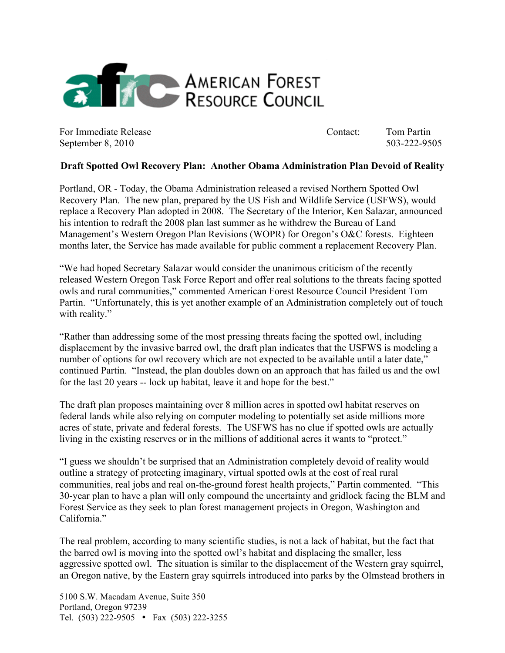

For Immediate Release Contact: Tom Partin September 8, 2010 503-222-9505

## **Draft Spotted Owl Recovery Plan: Another Obama Administration Plan Devoid of Reality**

Portland, OR - Today, the Obama Administration released a revised Northern Spotted Owl Recovery Plan. The new plan, prepared by the US Fish and Wildlife Service (USFWS), would replace a Recovery Plan adopted in 2008. The Secretary of the Interior, Ken Salazar, announced his intention to redraft the 2008 plan last summer as he withdrew the Bureau of Land Management's Western Oregon Plan Revisions (WOPR) for Oregon's O&C forests. Eighteen months later, the Service has made available for public comment a replacement Recovery Plan.

"We had hoped Secretary Salazar would consider the unanimous criticism of the recently released Western Oregon Task Force Report and offer real solutions to the threats facing spotted owls and rural communities," commented American Forest Resource Council President Tom Partin. "Unfortunately, this is yet another example of an Administration completely out of touch with reality."

"Rather than addressing some of the most pressing threats facing the spotted owl, including displacement by the invasive barred owl, the draft plan indicates that the USFWS is modeling a number of options for owl recovery which are not expected to be available until a later date," continued Partin. "Instead, the plan doubles down on an approach that has failed us and the owl for the last 20 years -- lock up habitat, leave it and hope for the best."

The draft plan proposes maintaining over 8 million acres in spotted owl habitat reserves on federal lands while also relying on computer modeling to potentially set aside millions more acres of state, private and federal forests. The USFWS has no clue if spotted owls are actually living in the existing reserves or in the millions of additional acres it wants to "protect."

"I guess we shouldn't be surprised that an Administration completely devoid of reality would outline a strategy of protecting imaginary, virtual spotted owls at the cost of real rural communities, real jobs and real on-the-ground forest health projects," Partin commented. "This 30-year plan to have a plan will only compound the uncertainty and gridlock facing the BLM and Forest Service as they seek to plan forest management projects in Oregon, Washington and California."

The real problem, according to many scientific studies, is not a lack of habitat, but the fact that the barred owl is moving into the spotted owl's habitat and displacing the smaller, less aggressive spotted owl. The situation is similar to the displacement of the Western gray squirrel, an Oregon native, by the Eastern gray squirrels introduced into parks by the Olmstead brothers in

5100 S.W. Macadam Avenue, Suite 350 Portland, Oregon 97239 Tel. (503) 222-9505 • Fax (503) 222-3255